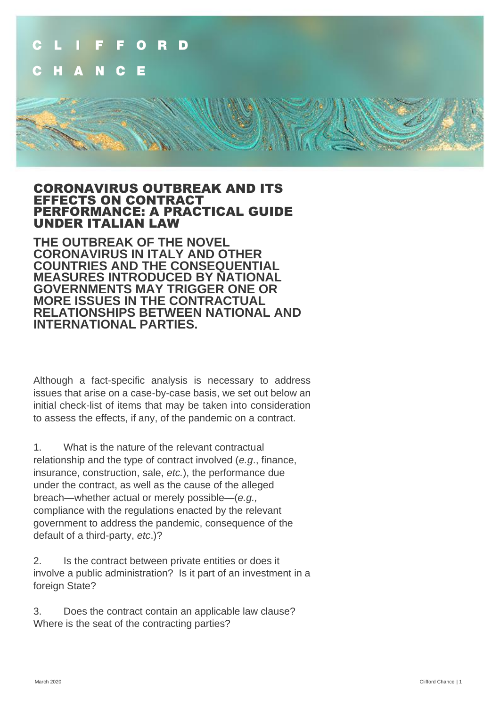

#### CORONAVIRUS OUTBREAK AND ITS EFFECTS ON CONTRACT PERFORMANCE: A PRACTICAL GUIDE UNDER ITALIAN LAW

**THE OUTBREAK OF THE NOVEL CORONAVIRUS IN ITALY AND OTHER COUNTRIES AND THE CONSEQUENTIAL MEASURES INTRODUCED BY NATIONAL GOVERNMENTS MAY TRIGGER ONE OR MORE ISSUES IN THE CONTRACTUAL RELATIONSHIPS BETWEEN NATIONAL AND INTERNATIONAL PARTIES.**

Although a fact-specific analysis is necessary to address issues that arise on a case-by-case basis, we set out below an initial check-list of items that may be taken into consideration to assess the effects, if any, of the pandemic on a contract.

1. What is the nature of the relevant contractual relationship and the type of contract involved (*e.g*., finance, insurance, construction, sale, *etc.*), the performance due under the contract, as well as the cause of the alleged breach—whether actual or merely possible—(*e.g.,* compliance with the regulations enacted by the relevant government to address the pandemic, consequence of the default of a third-party, *etc*.)?

2. Is the contract between private entities or does it involve a public administration? Is it part of an investment in a foreign State?

3. Does the contract contain an applicable law clause? Where is the seat of the contracting parties?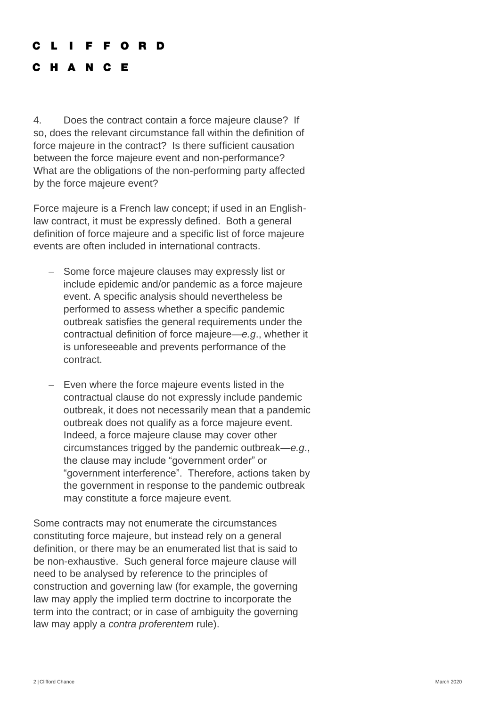#### CLIFFORD

#### C H A N C E

4. Does the contract contain a force majeure clause? If so, does the relevant circumstance fall within the definition of force majeure in the contract? Is there sufficient causation between the force majeure event and non-performance? What are the obligations of the non-performing party affected by the force majeure event?

Force majeure is a French law concept; if used in an Englishlaw contract, it must be expressly defined. Both a general definition of force majeure and a specific list of force majeure events are often included in international contracts.

- Some force majeure clauses may expressly list or include epidemic and/or pandemic as a force majeure event. A specific analysis should nevertheless be performed to assess whether a specific pandemic outbreak satisfies the general requirements under the contractual definition of force majeure—*e.g*., whether it is unforeseeable and prevents performance of the contract.
- − Even where the force majeure events listed in the contractual clause do not expressly include pandemic outbreak, it does not necessarily mean that a pandemic outbreak does not qualify as a force majeure event. Indeed, a force majeure clause may cover other circumstances trigged by the pandemic outbreak—*e.g*., the clause may include "government order" or "government interference". Therefore, actions taken by the government in response to the pandemic outbreak may constitute a force majeure event.

Some contracts may not enumerate the circumstances constituting force majeure, but instead rely on a general definition, or there may be an enumerated list that is said to be non-exhaustive. Such general force majeure clause will need to be analysed by reference to the principles of construction and governing law (for example, the governing law may apply the implied term doctrine to incorporate the term into the contract; or in case of ambiguity the governing law may apply a *contra proferentem* rule).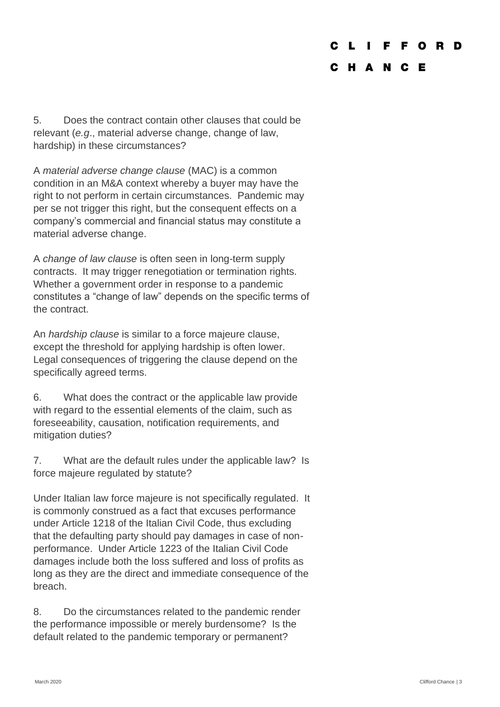#### C F O R D

#### C H A N C E

5. Does the contract contain other clauses that could be relevant (*e.g*., material adverse change, change of law, hardship) in these circumstances?

A *material adverse change clause* (MAC) is a common condition in an M&A context whereby a buyer may have the right to not perform in certain circumstances. Pandemic may per se not trigger this right, but the consequent effects on a company's commercial and financial status may constitute a material adverse change.

A *change of law clause* is often seen in long-term supply contracts. It may trigger renegotiation or termination rights. Whether a government order in response to a pandemic constitutes a "change of law" depends on the specific terms of the contract.

An *hardship clause* is similar to a force majeure clause, except the threshold for applying hardship is often lower. Legal consequences of triggering the clause depend on the specifically agreed terms.

6. What does the contract or the applicable law provide with regard to the essential elements of the claim, such as foreseeability, causation, notification requirements, and mitigation duties?

7. What are the default rules under the applicable law? Is force majeure regulated by statute?

Under Italian law force majeure is not specifically regulated. It is commonly construed as a fact that excuses performance under Article 1218 of the Italian Civil Code, thus excluding that the defaulting party should pay damages in case of nonperformance. Under Article 1223 of the Italian Civil Code damages include both the loss suffered and loss of profits as long as they are the direct and immediate consequence of the breach.

8. Do the circumstances related to the pandemic render the performance impossible or merely burdensome? Is the default related to the pandemic temporary or permanent?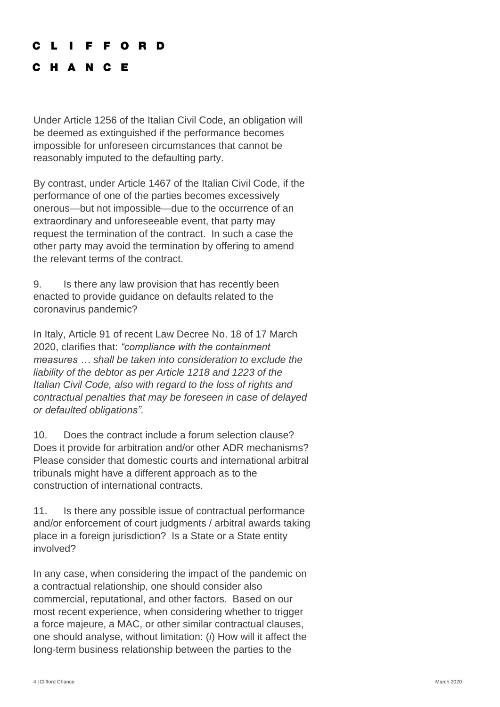#### C L I F F O R D

### C H A N C E

Under Article 1256 of the Italian Civil Code, an obligation will be deemed as extinguished if the performance becomes impossible for unforeseen circumstances that cannot be reasonably imputed to the defaulting party.

By contrast, under Article 1467 of the Italian Civil Code, if the performance of one of the parties becomes excessively onerous—but not impossible—due to the occurrence of an extraordinary and unforeseeable event, that party may request the termination of the contract. In such a case the other party may avoid the termination by offering to amend the relevant terms of the contract.

9. Is there any law provision that has recently been enacted to provide guidance on defaults related to the coronavirus pandemic?

In Italy, Article 91 of recent Law Decree No. 18 of 17 March 2020, clarifies that: *"compliance with the containment measures … shall be taken into consideration to exclude the liability of the debtor as per Article 1218 and 1223 of the Italian Civil Code, also with regard to the loss of rights and contractual penalties that may be foreseen in case of delayed or defaulted obligations".*

10. Does the contract include a forum selection clause? Does it provide for arbitration and/or other ADR mechanisms? Please consider that domestic courts and international arbitral tribunals might have a different approach as to the construction of international contracts.

11. Is there any possible issue of contractual performance and/or enforcement of court judgments / arbitral awards taking place in a foreign jurisdiction? Is a State or a State entity involved?

In any case, when considering the impact of the pandemic on a contractual relationship, one should consider also commercial, reputational, and other factors. Based on our most recent experience, when considering whether to trigger a force majeure, a MAC, or other similar contractual clauses, one should analyse, without limitation: (*i*) How will it affect the long-term business relationship between the parties to the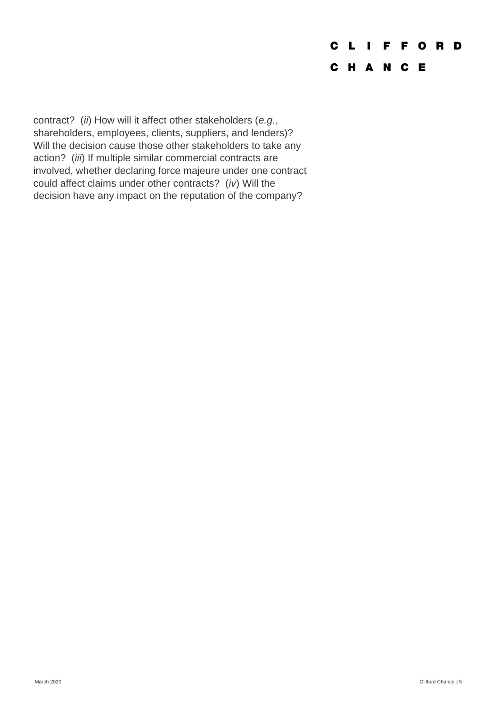# **CLIFFORD**

## C H A N C E

contract? (*ii*) How will it affect other stakeholders (*e.g.*, shareholders, employees, clients, suppliers, and lenders)? Will the decision cause those other stakeholders to take any action? (*iii*) If multiple similar commercial contracts are involved, whether declaring force majeure under one contract could affect claims under other contracts? (*iv*) Will the decision have any impact on the reputation of the company?